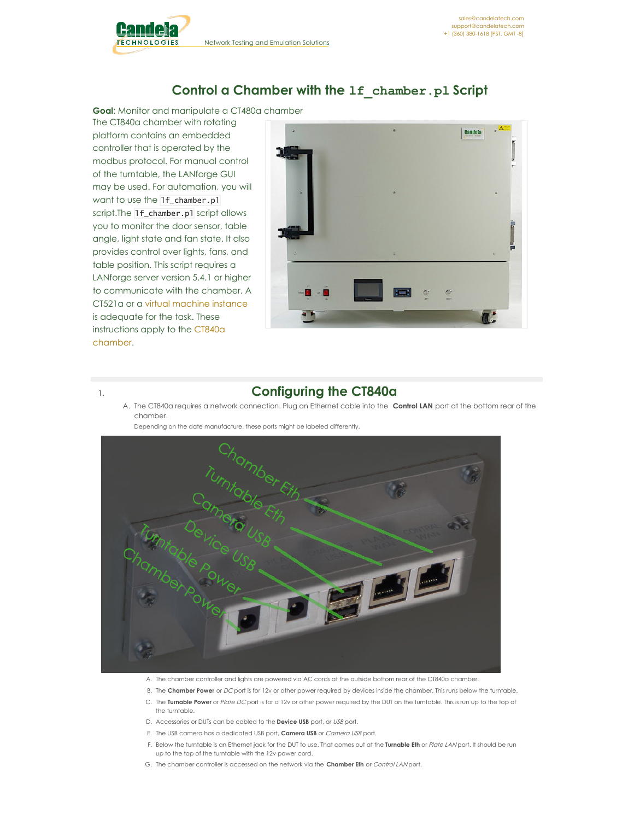

## **Control a Chamber with the lf\_chamber.pl Script**

**Goal**: Monitor and manipulate a CT480a chamber

The CT840a chamber with rotating platform contains an embedded controller that is operated by the modbus protocol. For manual control of the turntable, the LANforge GUI may be used. For automation, you will want to use the lf\_chamber.pl script.The 1f\_chamber.pl script allows you to monitor the door sensor, table angle, light state and fan state. It also provides control over lights, fans, and table position. This script requires a LANforge server version 5.4.1 or higher to communicate with the chamber. A CT521a or a virtual [machine](http://www.candelatech.com/downloads.php#optional) instance is adequate for the task. These [instructions](http://www.candelatech.com/ct840a_product.php) apply to the CT840a chamber.



# 1. **Configuring the CT840a**

A. The CT840a requires a network connection. Plug an Ethernet cable into the **Control LAN** port at the bottom rear of the chamber.

Depending on the date manufacture, these ports might be labeled differently.



- A. The chamber controller and lights are powered via AC cords at the outside bottom rear of the CT840a chamber.
- B. The **Chamber Power** or DC port is for 12v or other power required by devices inside the chamber. This runs below the turntable.
- C. The **Turnable Power** or Plate DC port is for a 12v or other power required by the DUT on the turntable. This is run up to the top of the turntable.
- D. Accessories or DUTs can be cabled to the **Device USB** port, or USB port.
- E. The USB camera has a dedicated USB port, **Camera USB** or Camera USB port.
- F. Below the turntable is an Ethernet jack for the DUT to use. That comes out at the **Turnable Eth** or Plate LAN port. It should be run up to the top of the turntable with the 12v power cord.
- G. The chamber controller is accessed on the network via the **Chamber Eth** or Control LAN port.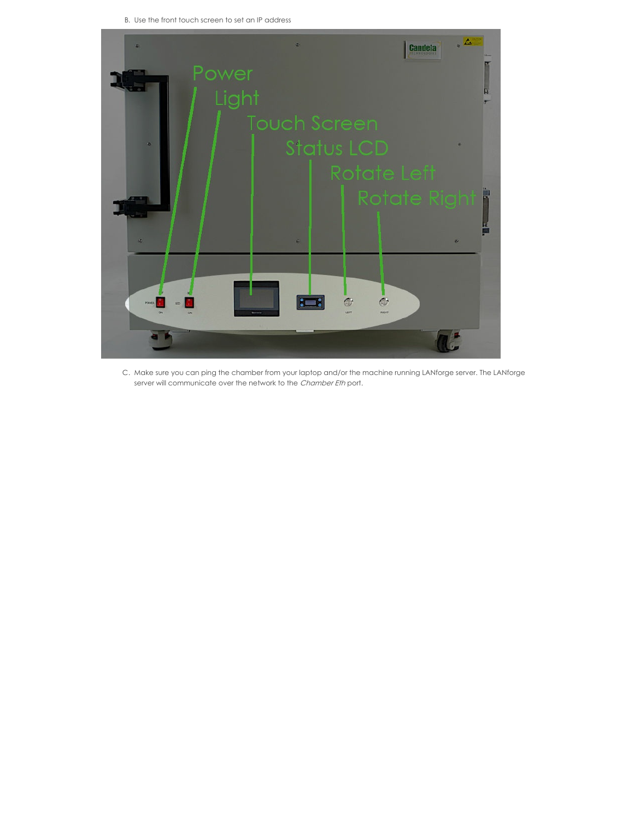B. Use the front touch screen to set an IP address



C. Make sure you can ping the chamber from your laptop and/or the machine running LANforge server. The LANforge server will communicate over the network to the Chamber Eth port.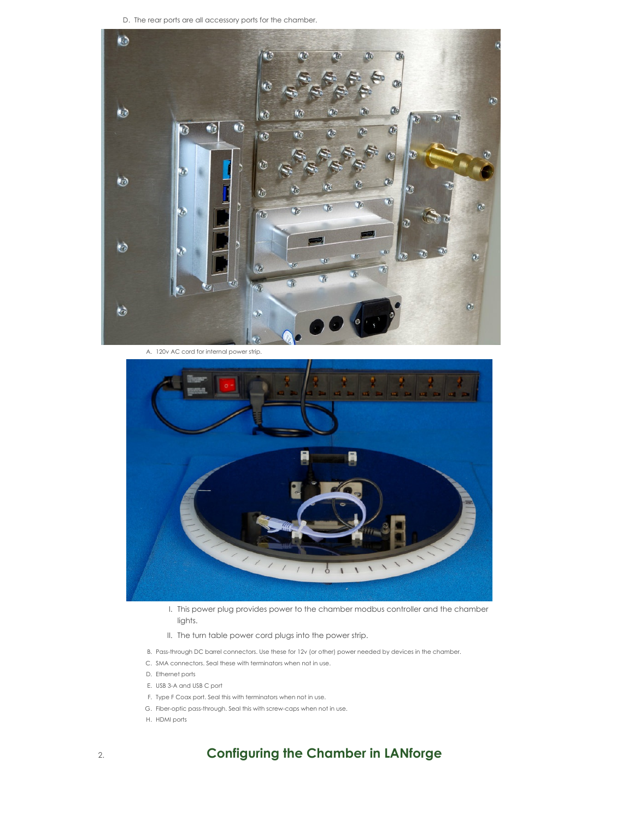D. The rear ports are all accessory ports for the chamber.



A. 120v AC cord for internal power strip.



I. This power plug provides power to the chamber modbus controller and the chamber lights.

- II. The turn table power cord plugs into the power strip.
- B. Pass-through DC barrel connectors. Use these for 12v (or other) power needed by devices in the chamber.
- C. SMA connectors. Seal these with terminators when not in use.
- D. Ethernet ports
- E. USB 3-A and USB C port
- F. Type F Coax port. Seal this with terminators when not in use.
- G. Fiber-optic pass-through. Seal this with screw-caps when not in use.
- H. HDMI ports

# 2. **Configuring the Chamber in LANforge**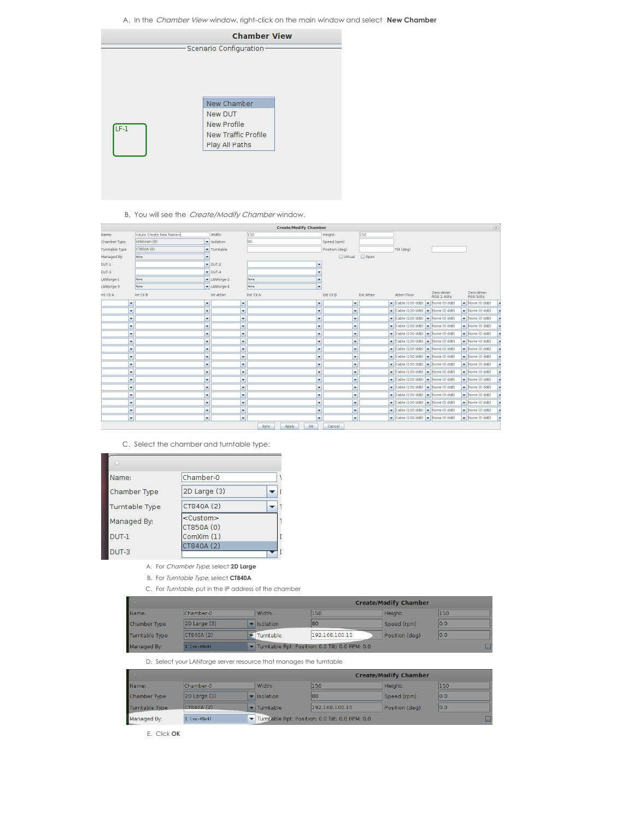A. In the Chamber View window, right-click on the main window and select **New Chamber**

|      | <b>Chamber View</b>        |  |
|------|----------------------------|--|
|      | -Scenario Configuration-   |  |
|      |                            |  |
|      |                            |  |
|      |                            |  |
|      |                            |  |
|      |                            |  |
|      |                            |  |
|      | New Chamber                |  |
|      | New DUT                    |  |
| LF-1 | <b>New Profile</b>         |  |
|      | <b>New Traffic Profile</b> |  |
|      | Play All Paths             |  |
|      |                            |  |
|      |                            |  |
|      |                            |  |
|      |                            |  |

#### B. You will see the *Create/Modify Chamber* window.

|                       | $(\bar{x})$<br><b>Create/Modify Chamber</b> |                      |                             |          |                                                                                                                                                                                                                                |                          |                |           |                                                                          |                           |                                    |
|-----------------------|---------------------------------------------|----------------------|-----------------------------|----------|--------------------------------------------------------------------------------------------------------------------------------------------------------------------------------------------------------------------------------|--------------------------|----------------|-----------|--------------------------------------------------------------------------|---------------------------|------------------------------------|
| Name:                 | <auto create="" name="" new=""></auto>      |                      | Width:                      | 150      |                                                                                                                                                                                                                                |                          | Height:        | 150       |                                                                          |                           |                                    |
| Chamber Type          | Unknown (0)                                 |                      | v Isolation                 | 80       |                                                                                                                                                                                                                                |                          | Speed (rpm)    |           |                                                                          |                           |                                    |
| <b>Turntable Type</b> | CT850A (0)                                  |                      | Turntable                   |          |                                                                                                                                                                                                                                |                          | Position (deg) |           | Tilt (deg)                                                               |                           |                                    |
| Managed By:           | None                                        | $\blacksquare$       |                             |          |                                                                                                                                                                                                                                |                          | Wrtual         | Open      |                                                                          |                           |                                    |
| $DUT-1$               |                                             |                      | $\nabla$ DUT-2              |          |                                                                                                                                                                                                                                |                          |                |           |                                                                          |                           |                                    |
| $DUT-3$               |                                             |                      | $\blacktriangleright$ DUT-4 |          |                                                                                                                                                                                                                                | ٠                        |                |           |                                                                          |                           |                                    |
| LANforge-1            | None                                        |                      | LANforge-2                  | None     |                                                                                                                                                                                                                                | ۰                        |                |           |                                                                          |                           |                                    |
| LANforge-3            | None                                        |                      | LANforge-4                  | None     |                                                                                                                                                                                                                                | ٠                        |                |           |                                                                          |                           |                                    |
| Int CX A              | Int $CXB$                                   |                      | Int Atten                   | Ext CX A |                                                                                                                                                                                                                                |                          | Ext CX B       | Ext Atten | Atten Floor                                                              | Zero-Atten<br>RSSI 2.4Ghz | Zero-Atten<br>RSSI 5Ghz            |
|                       | $\overline{\phantom{a}}$                    | $\blacktriangledown$ | $\blacktriangledown$        |          |                                                                                                                                                                                                                                | $\overline{\phantom{a}}$ | ٠              |           | $\bullet$ Cable (100 ddB) $\bullet$ None (0 ddB)                         |                           | $\blacktriangleright$ None (0 ddB) |
|                       | $\blacktriangledown$                        | ٠                    | $\overline{\phantom{a}}$    |          |                                                                                                                                                                                                                                | $\overline{\phantom{a}}$ | ÷              |           | $\bullet$ Cable (100 ddB) $\bullet$ None (0 ddB)                         |                           | $\blacktriangleright$ None (0 ddB) |
|                       | $\overline{\phantom{a}}$                    | ۰                    | $\blacktriangledown$        |          |                                                                                                                                                                                                                                | ۰                        | ٠              |           | $\bullet$ Cable (100 ddB) $\bullet$ None (0 ddB)                         |                           | $\blacktriangleright$ None (0 ddB) |
|                       | ٠                                           | ٠                    | $\checkmark$                |          |                                                                                                                                                                                                                                | $\overline{\phantom{a}}$ | ÷              |           | $\bullet$ Cable (100 ddB) $\bullet$ None (0 ddB)                         |                           | $\blacktriangleright$ None (0 ddB) |
|                       | $\overline{\phantom{a}}$                    | ۰                    | $\overline{\phantom{a}}$    |          |                                                                                                                                                                                                                                | ۰                        | ÷              |           | $\bullet$ Cable (100 ddB) $\bullet$ None (0 ddB)                         |                           | $\blacktriangleright$ None (0 ddB) |
|                       | $\overline{\phantom{a}}$                    | ۰                    |                             |          |                                                                                                                                                                                                                                | $\overline{\phantom{a}}$ | ٠              |           | $\bullet$ Cable (100 ddB) $\bullet$ None (0 ddB)                         |                           | $\blacktriangleright$ None (0 ddB) |
|                       | $\overline{\phantom{a}}$                    | ٠                    | $\blacktriangledown$        |          |                                                                                                                                                                                                                                | $\blacktriangledown$     | ٠              |           | $\blacktriangleright$ Cable (100 ddB) $\blacktriangleright$ None (0 ddB) |                           | $\blacktriangleright$ None (0 ddB) |
|                       | $\overline{\phantom{a}}$                    | ۰                    | $\blacktriangledown$        |          |                                                                                                                                                                                                                                | ۰l                       | ٠              |           | $\blacktriangleright$ Cable (100 ddB) $\blacktriangleright$ None (0 ddB) |                           | $\blacktriangleright$ None (0 ddB) |
|                       | $\overline{\phantom{a}}$                    | ۰                    | $\overline{\phantom{a}}$    |          |                                                                                                                                                                                                                                | $\overline{\phantom{a}}$ | ٠              |           | $\bullet$ Cable (100 ddB) $\bullet$ None (0 ddB)                         |                           | $\blacktriangleright$ None (0 ddB) |
|                       | ٠                                           | ٠                    | ٠                           |          |                                                                                                                                                                                                                                | ٠                        | ÷              |           | $\bullet$ Cable (100 ddB) $\bullet$ None (0 ddB)                         |                           | $\blacktriangleright$ None (0 ddB) |
|                       | $\overline{\phantom{a}}$                    | ٠                    |                             |          |                                                                                                                                                                                                                                | $\overline{\phantom{a}}$ | ٠              |           | $\bullet$ Cable (100 ddB) $\bullet$ None (0 ddB)                         |                           | $\blacktriangleright$ None (0 ddB) |
|                       | $\blacktriangledown$                        | ۰                    | $\overline{\phantom{a}}$    |          |                                                                                                                                                                                                                                | ▾                        | ٠              |           | $\bullet$ Cable (100 ddB) $\bullet$ None (0 ddB)                         |                           | $\blacktriangleright$ None (0 ddB) |
|                       | ۰                                           | ٠                    | ٠                           |          |                                                                                                                                                                                                                                | $\overline{\phantom{a}}$ | ٠              |           | $\blacktriangleright$ Cable (100 ddB) $\blacktriangleright$ None (0 ddB) |                           | $\blacktriangleright$ None (0 ddB) |
|                       | $\overline{\phantom{a}}$                    | ۰                    | $\blacktriangledown$        |          |                                                                                                                                                                                                                                | $\overline{\phantom{a}}$ | ٠              |           | $\bullet$ Cable (100 ddB) $\bullet$ None (0 ddB)                         |                           | $\blacktriangleright$ None (0 ddB) |
|                       | $\overline{\phantom{a}}$                    | ۰                    | $\overline{\phantom{a}}$    |          |                                                                                                                                                                                                                                | $\overline{\phantom{a}}$ | ٠              |           | $\bullet$ Cable (100 ddB) $\bullet$ None (0 ddB)                         |                           | $\blacktriangleright$ None (0 ddB) |
|                       | ٠                                           | ٠                    | $\overline{\phantom{a}}$    |          |                                                                                                                                                                                                                                | $\overline{\phantom{a}}$ | ٠              |           | $\bullet$ Cable (100 ddB) $\bullet$ None (0 ddB)                         |                           | $\blacktriangleright$ None (0 ddB) |
|                       |                                             |                      |                             |          | Contract Contract Contract Contract Contract Contract Contract Contract Contract Contract Contract Contract Contract Contract Contract Contract Contract Contract Contract Contract Contract Contract Contract Contract Contra |                          | Connell        |           |                                                                          |                           |                                    |

C. Select the chamber and turntable type:



A. For Chamber Type, select **2D Large**

B. For Turntable Type, select **CT840A**

C. For Turntable, put in the IP address of the chamber

|                |                    |             |                                                 | <b>Create/Modify Chamber</b> |      |  |
|----------------|--------------------|-------------|-------------------------------------------------|------------------------------|------|--|
| Name:          | Chamber-0          | Width:      | 150                                             | Height:                      | 150  |  |
| Chamber Type   | $ 2D $ Large $(3)$ | v Isolation | 80                                              | Speed (rpm)                  | 0,0  |  |
| Turntable Type | CT840A (2)         | Turntable   | 192.168.100.10                                  | Position (deg)               | 10.0 |  |
| Managed By:    | $1$ ( $vm-48e4$ )  |             | Turntable Rpt: Position: 0.0 Tilt: 0.0 RPM: 0.0 |                              |      |  |

D. Select your LANforge server resource that manages the turntable

| <b>Create/Modify Chamber</b> |                   |             |                                                 |                |     |  |  |
|------------------------------|-------------------|-------------|-------------------------------------------------|----------------|-----|--|--|
| Name:                        | Chamber-0         | Width:      | 150                                             | Height:        | 150 |  |  |
| Chamber Type                 | $ 2D$ Large $(3)$ | v Isolation | 180                                             | Speed (rpm)    | 0,0 |  |  |
| Turntable Type               | CT840A(2)         | ▼ Turntable | 192.168.100.10                                  | Position (deg) | 0,0 |  |  |
| Managed By:                  | $1$ ( $vm-48e4$ ) |             | Turntable Rpt: Position: 0.0 Tilt: 0.0 RPM: 0.0 |                |     |  |  |

E. Click **OK**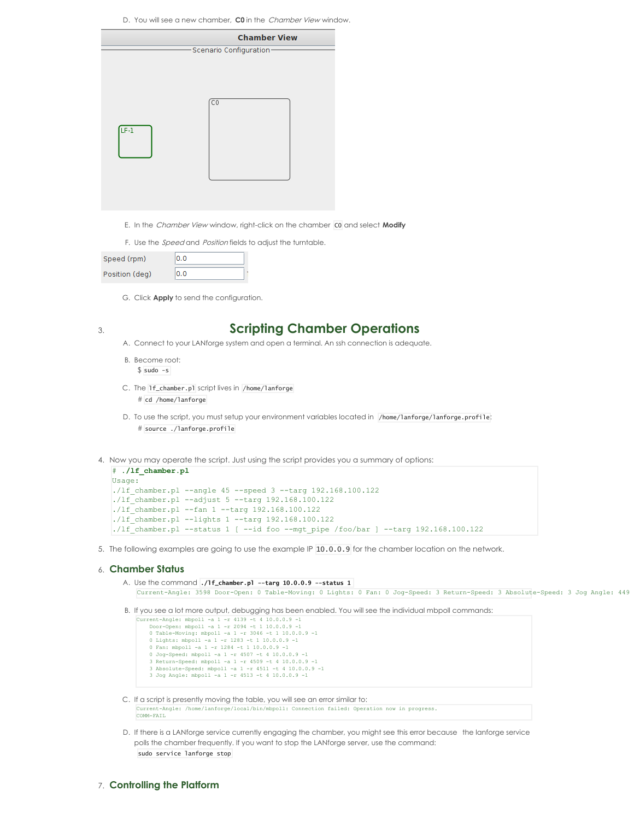D. You will see a new chamber, **C0** in the Chamber View window.

|       | <b>Chamber View</b>      |
|-------|--------------------------|
|       | -Scenario Configuration- |
| $F-1$ | τo                       |

- E. In the Chamber View window, right-click on the chamber C0 and select **Modify**
- F. Use the *Speed* and *Position* fields to adjust the turntable.

| Speed (rpm)    | 0.0 |  |
|----------------|-----|--|
| Position (deg) | n n |  |

G. Click **Apply** to send the configuration.

### 3. **Scripting Chamber Operations**

- A. Connect to your LANforge system and open a terminal. An ssh connection is adequate.
- B. Become root:  $$$  sudo  $-$ s
- C. The lf\_chamber.pl script lives in /home/lanforge
	- # cd /home/lanforge
- D. To use the script, you must setup your environment variables located in /home/lanforge/lanforge.profile: # source ./lanforge.profile
- 4. Now you may operate the script. Just using the script provides you a summary of options:

```
# ./lf_chamber.pl
Usage:
./lf chamber.pl --angle 45 --speed 3 --targ 192.168.100.122./lf chamber.pl --adjust 5 --targ 192.168.100.122
./lf chamber.pl --fan 1 --targ 192.168.100.122
./lf chamber.pl --lights 1 --targ 192.168.100.122
./lf_chamber.pl --status 1 [ --id foo --mgt_pipe /foo/bar ] --targ 192.168.100.122
```
5. The following examples are going to use the example IP 10.0.0.9 for the chamber location on the network.

#### 6. **Chamber Status**

```
A. Use the command ./lf_chamber.pl --targ 10.0.0.9 --status 1
   Current-Angle: 3598 Door-Open: 0 Table-Moving: 0 Lights: 0 Fan: 0 Jog-Speed: 3 Return-Speed: 3 Absolute-Speed: 3 Jog Angle: 449
```

```
B. If you see a lot more output, debugging has been enabled. You will see the individual mbpoll commands:
```

```
Current-Angle: mbpoll -a 1 -r 4139 -t 4 10.0.0.9 -1
Door-Open: mbpoll -a 1 -r 2094 -t 1 10.0.0.9 -1
```

```
0 Table-Moving: mbpoll -a 1 - r 3046 -t 1 10.0.0.90 Lights: mbpoll -a 1 -r 1283 -t 1 10.0.0.9 -1
```

```
0 Fan: mbpoll -a 1 -r 1284 -t 1 10.0.0.9 -1
```

```
0 Jog-Speed: mbpoll -a 1 -r 4507 -t 4 10.0.0.9 -1
3 Return-Speed: mbpoll -a 1 -r 4509 -t 4 10.0.0.9 -1
```
- 3 Absolute-Speed: mbpoll -a 1 -r 4511 -t 4 10.0.0.9 -1 3 Jog Angle: mbpoll -a 1 -r 4513 -t 4 10.0.0.9 -1
- C. If a script is presently moving the table, you will see an error similar to: Current-Angle: /home/lanforge/local/bin/mbpoll: Connection failed: Operation now in progress. COMM-FAIL

D. If there is a LANforge service currently engaging the chamber, you might see this error because the lanforge service polls the chamber frequently. If you want to stop the LANforge server, use the command: sudo service lanforge stop

## 7. **Controlling the Platform**